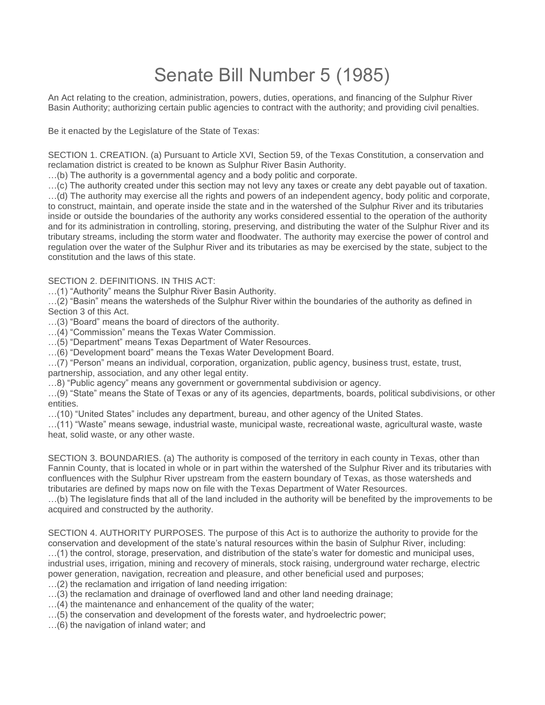## Senate Bill Number 5 (1985)

An Act relating to the creation, administration, powers, duties, operations, and financing of the Sulphur River Basin Authority; authorizing certain public agencies to contract with the authority; and providing civil penalties.

Be it enacted by the Legislature of the State of Texas:

SECTION 1. CREATION. (a) Pursuant to Article XVI, Section 59, of the Texas Constitution, a conservation and reclamation district is created to be known as Sulphur River Basin Authority.

…(b) The authority is a governmental agency and a body politic and corporate.

…(c) The authority created under this section may not levy any taxes or create any debt payable out of taxation. …(d) The authority may exercise all the rights and powers of an independent agency, body politic and corporate, to construct, maintain, and operate inside the state and in the watershed of the Sulphur River and its tributaries inside or outside the boundaries of the authority any works considered essential to the operation of the authority and for its administration in controlling, storing, preserving, and distributing the water of the Sulphur River and its tributary streams, including the storm water and floodwater. The authority may exercise the power of control and regulation over the water of the Sulphur River and its tributaries as may be exercised by the state, subject to the constitution and the laws of this state.

SECTION 2. DEFINITIONS. IN THIS ACT:

…(1) "Authority" means the Sulphur River Basin Authority.

…(2) "Basin" means the watersheds of the Sulphur River within the boundaries of the authority as defined in Section 3 of this Act.

…(3) "Board" means the board of directors of the authority.

…(4) "Commission" means the Texas Water Commission.

…(5) "Department" means Texas Department of Water Resources.

…(6) "Development board" means the Texas Water Development Board.

…(7) "Person" means an individual, corporation, organization, public agency, business trust, estate, trust, partnership, association, and any other legal entity.

…8) "Public agency" means any government or governmental subdivision or agency.

…(9) "State" means the State of Texas or any of its agencies, departments, boards, political subdivisions, or other entities.

…(10) "United States" includes any department, bureau, and other agency of the United States.

…(11) "Waste" means sewage, industrial waste, municipal waste, recreational waste, agricultural waste, waste heat, solid waste, or any other waste.

SECTION 3. BOUNDARIES. (a) The authority is composed of the territory in each county in Texas, other than Fannin County, that is located in whole or in part within the watershed of the Sulphur River and its tributaries with confluences with the Sulphur River upstream from the eastern boundary of Texas, as those watersheds and tributaries are defined by maps now on file with the Texas Department of Water Resources.

…(b) The legislature finds that all of the land included in the authority will be benefited by the improvements to be acquired and constructed by the authority.

SECTION 4. AUTHORITY PURPOSES. The purpose of this Act is to authorize the authority to provide for the conservation and development of the state's natural resources within the basin of Sulphur River, including: …(1) the control, storage, preservation, and distribution of the state's water for domestic and municipal uses, industrial uses, irrigation, mining and recovery of minerals, stock raising, underground water recharge, electric power generation, navigation, recreation and pleasure, and other beneficial used and purposes;

…(2) the reclamation and irrigation of land needing irrigation:

…(3) the reclamation and drainage of overflowed land and other land needing drainage;

…(4) the maintenance and enhancement of the quality of the water;

…(5) the conservation and development of the forests water, and hydroelectric power;

…(6) the navigation of inland water; and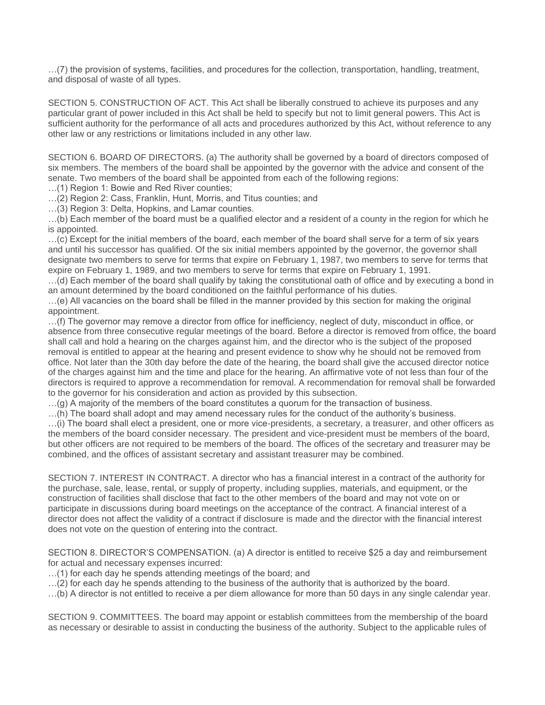…(7) the provision of systems, facilities, and procedures for the collection, transportation, handling, treatment, and disposal of waste of all types.

SECTION 5. CONSTRUCTION OF ACT. This Act shall be liberally construed to achieve its purposes and any particular grant of power included in this Act shall be held to specify but not to limit general powers. This Act is sufficient authority for the performance of all acts and procedures authorized by this Act, without reference to any other law or any restrictions or limitations included in any other law.

SECTION 6. BOARD OF DIRECTORS. (a) The authority shall be governed by a board of directors composed of six members. The members of the board shall be appointed by the governor with the advice and consent of the senate. Two members of the board shall be appointed from each of the following regions:

…(1) Region 1: Bowie and Red River counties;

…(2) Region 2: Cass, Franklin, Hunt, Morris, and Titus counties; and

…(3) Region 3: Delta, Hopkins, and Lamar counties.

…(b) Each member of the board must be a qualified elector and a resident of a county in the region for which he is appointed.

…(c) Except for the initial members of the board, each member of the board shall serve for a term of six years and until his successor has qualified. Of the six initial members appointed by the governor, the governor shall designate two members to serve for terms that expire on February 1, 1987, two members to serve for terms that expire on February 1, 1989, and two members to serve for terms that expire on February 1, 1991.

…(d) Each member of the board shall qualify by taking the constitutional oath of office and by executing a bond in an amount determined by the board conditioned on the faithful performance of his duties.

…(e) All vacancies on the board shall be filled in the manner provided by this section for making the original appointment.

…(f) The governor may remove a director from office for inefficiency, neglect of duty, misconduct in office, or absence from three consecutive regular meetings of the board. Before a director is removed from office, the board shall call and hold a hearing on the charges against him, and the director who is the subject of the proposed removal is entitled to appear at the hearing and present evidence to show why he should not be removed from office. Not later than the 30th day before the date of the hearing, the board shall give the accused director notice of the charges against him and the time and place for the hearing. An affirmative vote of not less than four of the directors is required to approve a recommendation for removal. A recommendation for removal shall be forwarded to the governor for his consideration and action as provided by this subsection.

 $\dots$  (g) A majority of the members of the board constitutes a quorum for the transaction of business.

…(h) The board shall adopt and may amend necessary rules for the conduct of the authority's business.

…(i) The board shall elect a president, one or more vice-presidents, a secretary, a treasurer, and other officers as the members of the board consider necessary. The president and vice-president must be members of the board, but other officers are not required to be members of the board. The offices of the secretary and treasurer may be combined, and the offices of assistant secretary and assistant treasurer may be combined.

SECTION 7. INTEREST IN CONTRACT. A director who has a financial interest in a contract of the authority for the purchase, sale, lease, rental, or supply of property, including supplies, materials, and equipment, or the construction of facilities shall disclose that fact to the other members of the board and may not vote on or participate in discussions during board meetings on the acceptance of the contract. A financial interest of a director does not affect the validity of a contract if disclosure is made and the director with the financial interest does not vote on the question of entering into the contract.

SECTION 8. DIRECTOR'S COMPENSATION. (a) A director is entitled to receive \$25 a day and reimbursement for actual and necessary expenses incurred:

…(1) for each day he spends attending meetings of the board; and

…(2) for each day he spends attending to the business of the authority that is authorized by the board.

…(b) A director is not entitled to receive a per diem allowance for more than 50 days in any single calendar year.

SECTION 9. COMMITTEES. The board may appoint or establish committees from the membership of the board as necessary or desirable to assist in conducting the business of the authority. Subject to the applicable rules of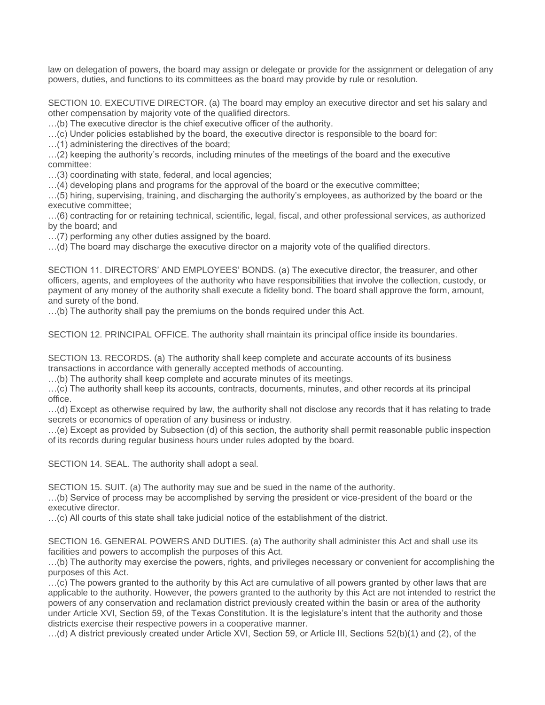law on delegation of powers, the board may assign or delegate or provide for the assignment or delegation of any powers, duties, and functions to its committees as the board may provide by rule or resolution.

SECTION 10. EXECUTIVE DIRECTOR. (a) The board may employ an executive director and set his salary and other compensation by majority vote of the qualified directors.

…(b) The executive director is the chief executive officer of the authority.

…(c) Under policies established by the board, the executive director is responsible to the board for:

…(1) administering the directives of the board;

…(2) keeping the authority's records, including minutes of the meetings of the board and the executive committee:

…(3) coordinating with state, federal, and local agencies;

…(4) developing plans and programs for the approval of the board or the executive committee;

…(5) hiring, supervising, training, and discharging the authority's employees, as authorized by the board or the executive committee;

…(6) contracting for or retaining technical, scientific, legal, fiscal, and other professional services, as authorized by the board; and

…(7) performing any other duties assigned by the board.

…(d) The board may discharge the executive director on a majority vote of the qualified directors.

SECTION 11. DIRECTORS' AND EMPLOYEES' BONDS. (a) The executive director, the treasurer, and other officers, agents, and employees of the authority who have responsibilities that involve the collection, custody, or payment of any money of the authority shall execute a fidelity bond. The board shall approve the form, amount, and surety of the bond.

…(b) The authority shall pay the premiums on the bonds required under this Act.

SECTION 12. PRINCIPAL OFFICE. The authority shall maintain its principal office inside its boundaries.

SECTION 13. RECORDS. (a) The authority shall keep complete and accurate accounts of its business transactions in accordance with generally accepted methods of accounting.

…(b) The authority shall keep complete and accurate minutes of its meetings.

…(c) The authority shall keep its accounts, contracts, documents, minutes, and other records at its principal office.

…(d) Except as otherwise required by law, the authority shall not disclose any records that it has relating to trade secrets or economics of operation of any business or industry.

…(e) Except as provided by Subsection (d) of this section, the authority shall permit reasonable public inspection of its records during regular business hours under rules adopted by the board.

SECTION 14. SEAL. The authority shall adopt a seal.

SECTION 15. SUIT. (a) The authority may sue and be sued in the name of the authority.

…(b) Service of process may be accomplished by serving the president or vice-president of the board or the executive director.

…(c) All courts of this state shall take judicial notice of the establishment of the district.

SECTION 16. GENERAL POWERS AND DUTIES. (a) The authority shall administer this Act and shall use its facilities and powers to accomplish the purposes of this Act.

…(b) The authority may exercise the powers, rights, and privileges necessary or convenient for accomplishing the purposes of this Act.

…(c) The powers granted to the authority by this Act are cumulative of all powers granted by other laws that are applicable to the authority. However, the powers granted to the authority by this Act are not intended to restrict the powers of any conservation and reclamation district previously created within the basin or area of the authority under Article XVI, Section 59, of the Texas Constitution. It is the legislature's intent that the authority and those districts exercise their respective powers in a cooperative manner.

…(d) A district previously created under Article XVI, Section 59, or Article III, Sections 52(b)(1) and (2), of the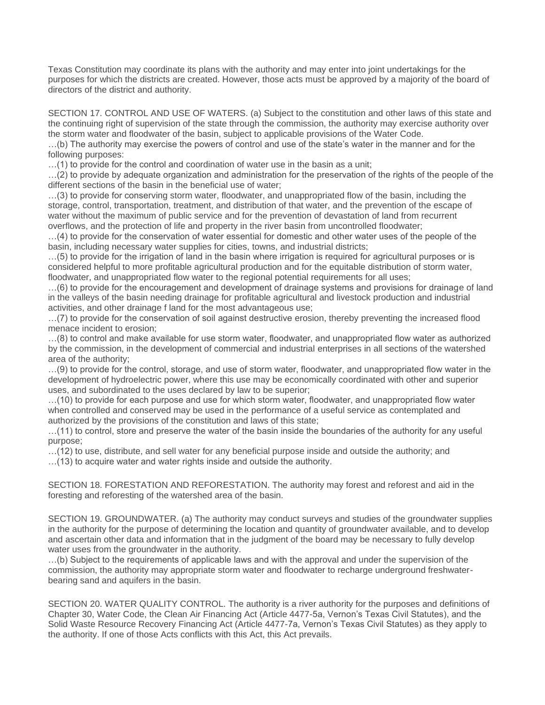Texas Constitution may coordinate its plans with the authority and may enter into joint undertakings for the purposes for which the districts are created. However, those acts must be approved by a majority of the board of directors of the district and authority.

SECTION 17. CONTROL AND USE OF WATERS. (a) Subject to the constitution and other laws of this state and the continuing right of supervision of the state through the commission, the authority may exercise authority over the storm water and floodwater of the basin, subject to applicable provisions of the Water Code.

…(b) The authority may exercise the powers of control and use of the state's water in the manner and for the following purposes:

…(1) to provide for the control and coordination of water use in the basin as a unit;

…(2) to provide by adequate organization and administration for the preservation of the rights of the people of the different sections of the basin in the beneficial use of water;

…(3) to provide for conserving storm water, floodwater, and unappropriated flow of the basin, including the storage, control, transportation, treatment, and distribution of that water, and the prevention of the escape of water without the maximum of public service and for the prevention of devastation of land from recurrent overflows, and the protection of life and property in the river basin from uncontrolled floodwater;

…(4) to provide for the conservation of water essential for domestic and other water uses of the people of the basin, including necessary water supplies for cities, towns, and industrial districts;

…(5) to provide for the irrigation of land in the basin where irrigation is required for agricultural purposes or is considered helpful to more profitable agricultural production and for the equitable distribution of storm water, floodwater, and unappropriated flow water to the regional potential requirements for all uses;

…(6) to provide for the encouragement and development of drainage systems and provisions for drainage of land in the valleys of the basin needing drainage for profitable agricultural and livestock production and industrial activities, and other drainage f land for the most advantageous use;

…(7) to provide for the conservation of soil against destructive erosion, thereby preventing the increased flood menace incident to erosion;

…(8) to control and make available for use storm water, floodwater, and unappropriated flow water as authorized by the commission, in the development of commercial and industrial enterprises in all sections of the watershed area of the authority;

…(9) to provide for the control, storage, and use of storm water, floodwater, and unappropriated flow water in the development of hydroelectric power, where this use may be economically coordinated with other and superior uses, and subordinated to the uses declared by law to be superior;

…(10) to provide for each purpose and use for which storm water, floodwater, and unappropriated flow water when controlled and conserved may be used in the performance of a useful service as contemplated and authorized by the provisions of the constitution and laws of this state;

…(11) to control, store and preserve the water of the basin inside the boundaries of the authority for any useful purpose;

…(12) to use, distribute, and sell water for any beneficial purpose inside and outside the authority; and

…(13) to acquire water and water rights inside and outside the authority.

SECTION 18. FORESTATION AND REFORESTATION. The authority may forest and reforest and aid in the foresting and reforesting of the watershed area of the basin.

SECTION 19. GROUNDWATER. (a) The authority may conduct surveys and studies of the groundwater supplies in the authority for the purpose of determining the location and quantity of groundwater available, and to develop and ascertain other data and information that in the judgment of the board may be necessary to fully develop water uses from the groundwater in the authority.

…(b) Subject to the requirements of applicable laws and with the approval and under the supervision of the commission, the authority may appropriate storm water and floodwater to recharge underground freshwaterbearing sand and aquifers in the basin.

SECTION 20. WATER QUALITY CONTROL. The authority is a river authority for the purposes and definitions of Chapter 30, Water Code, the Clean Air Financing Act (Article 4477-5a, Vernon's Texas Civil Statutes), and the Solid Waste Resource Recovery Financing Act (Article 4477-7a, Vernon's Texas Civil Statutes) as they apply to the authority. If one of those Acts conflicts with this Act, this Act prevails.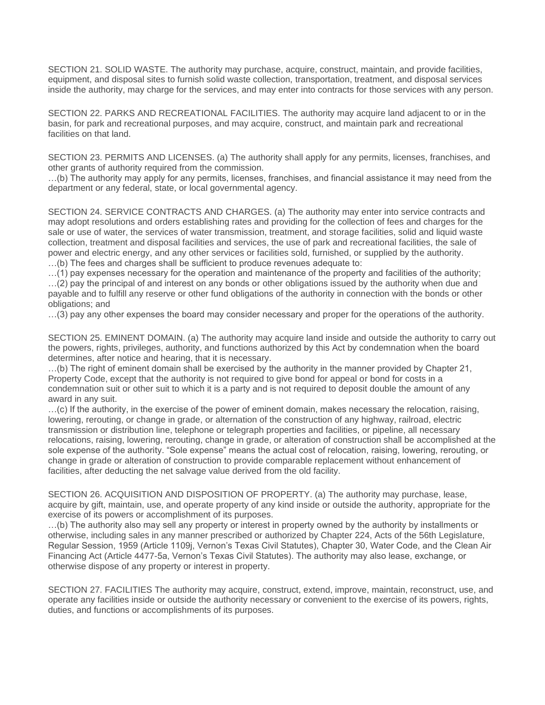SECTION 21. SOLID WASTE. The authority may purchase, acquire, construct, maintain, and provide facilities, equipment, and disposal sites to furnish solid waste collection, transportation, treatment, and disposal services inside the authority, may charge for the services, and may enter into contracts for those services with any person.

SECTION 22. PARKS AND RECREATIONAL FACILITIES. The authority may acquire land adjacent to or in the basin, for park and recreational purposes, and may acquire, construct, and maintain park and recreational facilities on that land.

SECTION 23. PERMITS AND LICENSES. (a) The authority shall apply for any permits, licenses, franchises, and other grants of authority required from the commission.

…(b) The authority may apply for any permits, licenses, franchises, and financial assistance it may need from the department or any federal, state, or local governmental agency.

SECTION 24. SERVICE CONTRACTS AND CHARGES. (a) The authority may enter into service contracts and may adopt resolutions and orders establishing rates and providing for the collection of fees and charges for the sale or use of water, the services of water transmission, treatment, and storage facilities, solid and liquid waste collection, treatment and disposal facilities and services, the use of park and recreational facilities, the sale of power and electric energy, and any other services or facilities sold, furnished, or supplied by the authority.

…(b) The fees and charges shall be sufficient to produce revenues adequate to:

…(1) pay expenses necessary for the operation and maintenance of the property and facilities of the authority;

…(2) pay the principal of and interest on any bonds or other obligations issued by the authority when due and payable and to fulfill any reserve or other fund obligations of the authority in connection with the bonds or other obligations; and

…(3) pay any other expenses the board may consider necessary and proper for the operations of the authority.

SECTION 25. EMINENT DOMAIN. (a) The authority may acquire land inside and outside the authority to carry out the powers, rights, privileges, authority, and functions authorized by this Act by condemnation when the board determines, after notice and hearing, that it is necessary.

…(b) The right of eminent domain shall be exercised by the authority in the manner provided by Chapter 21, Property Code, except that the authority is not required to give bond for appeal or bond for costs in a condemnation suit or other suit to which it is a party and is not required to deposit double the amount of any award in any suit.

…(c) If the authority, in the exercise of the power of eminent domain, makes necessary the relocation, raising, lowering, rerouting, or change in grade, or alternation of the construction of any highway, railroad, electric transmission or distribution line, telephone or telegraph properties and facilities, or pipeline, all necessary relocations, raising, lowering, rerouting, change in grade, or alteration of construction shall be accomplished at the sole expense of the authority. "Sole expense" means the actual cost of relocation, raising, lowering, rerouting, or change in grade or alteration of construction to provide comparable replacement without enhancement of facilities, after deducting the net salvage value derived from the old facility.

SECTION 26. ACQUISITION AND DISPOSITION OF PROPERTY. (a) The authority may purchase, lease, acquire by gift, maintain, use, and operate property of any kind inside or outside the authority, appropriate for the exercise of its powers or accomplishment of its purposes.

…(b) The authority also may sell any property or interest in property owned by the authority by installments or otherwise, including sales in any manner prescribed or authorized by Chapter 224, Acts of the 56th Legislature, Regular Session, 1959 (Article 1109j, Vernon's Texas Civil Statutes), Chapter 30, Water Code, and the Clean Air Financing Act (Article 4477-5a, Vernon's Texas Civil Statutes). The authority may also lease, exchange, or otherwise dispose of any property or interest in property.

SECTION 27. FACILITIES The authority may acquire, construct, extend, improve, maintain, reconstruct, use, and operate any facilities inside or outside the authority necessary or convenient to the exercise of its powers, rights, duties, and functions or accomplishments of its purposes.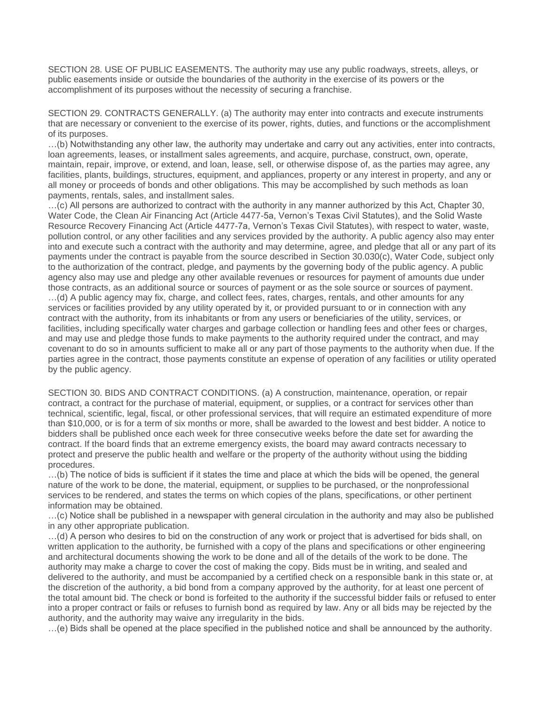SECTION 28. USE OF PUBLIC EASEMENTS. The authority may use any public roadways, streets, alleys, or public easements inside or outside the boundaries of the authority in the exercise of its powers or the accomplishment of its purposes without the necessity of securing a franchise.

SECTION 29. CONTRACTS GENERALLY. (a) The authority may enter into contracts and execute instruments that are necessary or convenient to the exercise of its power, rights, duties, and functions or the accomplishment of its purposes.

…(b) Notwithstanding any other law, the authority may undertake and carry out any activities, enter into contracts, loan agreements, leases, or installment sales agreements, and acquire, purchase, construct, own, operate, maintain, repair, improve, or extend, and loan, lease, sell, or otherwise dispose of, as the parties may agree, any facilities, plants, buildings, structures, equipment, and appliances, property or any interest in property, and any or all money or proceeds of bonds and other obligations. This may be accomplished by such methods as loan payments, rentals, sales, and installment sales.

…(c) All persons are authorized to contract with the authority in any manner authorized by this Act, Chapter 30, Water Code, the Clean Air Financing Act (Article 4477-5a, Vernon's Texas Civil Statutes), and the Solid Waste Resource Recovery Financing Act (Article 4477-7a, Vernon's Texas Civil Statutes), with respect to water, waste, pollution control, or any other facilities and any services provided by the authority. A public agency also may enter into and execute such a contract with the authority and may determine, agree, and pledge that all or any part of its payments under the contract is payable from the source described in Section 30.030(c), Water Code, subject only to the authorization of the contract, pledge, and payments by the governing body of the public agency. A public agency also may use and pledge any other available revenues or resources for payment of amounts due under those contracts, as an additional source or sources of payment or as the sole source or sources of payment. …(d) A public agency may fix, charge, and collect fees, rates, charges, rentals, and other amounts for any services or facilities provided by any utility operated by it, or provided pursuant to or in connection with any contract with the authority, from its inhabitants or from any users or beneficiaries of the utility, services, or facilities, including specifically water charges and garbage collection or handling fees and other fees or charges, and may use and pledge those funds to make payments to the authority required under the contract, and may covenant to do so in amounts sufficient to make all or any part of those payments to the authority when due. If the parties agree in the contract, those payments constitute an expense of operation of any facilities or utility operated by the public agency.

SECTION 30. BIDS AND CONTRACT CONDITIONS. (a) A construction, maintenance, operation, or repair contract, a contract for the purchase of material, equipment, or supplies, or a contract for services other than technical, scientific, legal, fiscal, or other professional services, that will require an estimated expenditure of more than \$10,000, or is for a term of six months or more, shall be awarded to the lowest and best bidder. A notice to bidders shall be published once each week for three consecutive weeks before the date set for awarding the contract. If the board finds that an extreme emergency exists, the board may award contracts necessary to protect and preserve the public health and welfare or the property of the authority without using the bidding procedures.

…(b) The notice of bids is sufficient if it states the time and place at which the bids will be opened, the general nature of the work to be done, the material, equipment, or supplies to be purchased, or the nonprofessional services to be rendered, and states the terms on which copies of the plans, specifications, or other pertinent information may be obtained.

…(c) Notice shall be published in a newspaper with general circulation in the authority and may also be published in any other appropriate publication.

…(d) A person who desires to bid on the construction of any work or project that is advertised for bids shall, on written application to the authority, be furnished with a copy of the plans and specifications or other engineering and architectural documents showing the work to be done and all of the details of the work to be done. The authority may make a charge to cover the cost of making the copy. Bids must be in writing, and sealed and delivered to the authority, and must be accompanied by a certified check on a responsible bank in this state or, at the discretion of the authority, a bid bond from a company approved by the authority, for at least one percent of the total amount bid. The check or bond is forfeited to the authority if the successful bidder fails or refused to enter into a proper contract or fails or refuses to furnish bond as required by law. Any or all bids may be rejected by the authority, and the authority may waive any irregularity in the bids.

…(e) Bids shall be opened at the place specified in the published notice and shall be announced by the authority.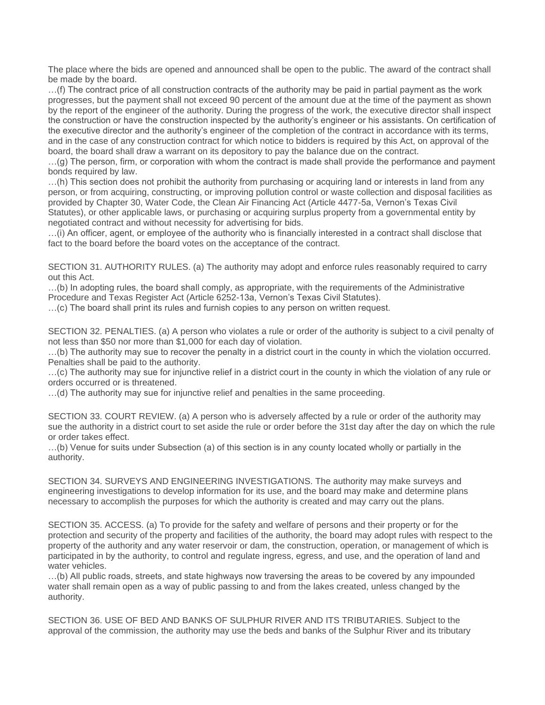The place where the bids are opened and announced shall be open to the public. The award of the contract shall be made by the board.

…(f) The contract price of all construction contracts of the authority may be paid in partial payment as the work progresses, but the payment shall not exceed 90 percent of the amount due at the time of the payment as shown by the report of the engineer of the authority. During the progress of the work, the executive director shall inspect the construction or have the construction inspected by the authority's engineer or his assistants. On certification of the executive director and the authority's engineer of the completion of the contract in accordance with its terms, and in the case of any construction contract for which notice to bidders is required by this Act, on approval of the board, the board shall draw a warrant on its depository to pay the balance due on the contract.

…(g) The person, firm, or corporation with whom the contract is made shall provide the performance and payment bonds required by law.

…(h) This section does not prohibit the authority from purchasing or acquiring land or interests in land from any person, or from acquiring, constructing, or improving pollution control or waste collection and disposal facilities as provided by Chapter 30, Water Code, the Clean Air Financing Act (Article 4477-5a, Vernon's Texas Civil Statutes), or other applicable laws, or purchasing or acquiring surplus property from a governmental entity by negotiated contract and without necessity for advertising for bids.

…(i) An officer, agent, or employee of the authority who is financially interested in a contract shall disclose that fact to the board before the board votes on the acceptance of the contract.

SECTION 31. AUTHORITY RULES. (a) The authority may adopt and enforce rules reasonably required to carry out this Act.

…(b) In adopting rules, the board shall comply, as appropriate, with the requirements of the Administrative Procedure and Texas Register Act (Article 6252-13a, Vernon's Texas Civil Statutes).

…(c) The board shall print its rules and furnish copies to any person on written request.

SECTION 32. PENALTIES. (a) A person who violates a rule or order of the authority is subject to a civil penalty of not less than \$50 nor more than \$1,000 for each day of violation.

…(b) The authority may sue to recover the penalty in a district court in the county in which the violation occurred. Penalties shall be paid to the authority.

…(c) The authority may sue for injunctive relief in a district court in the county in which the violation of any rule or orders occurred or is threatened.

…(d) The authority may sue for injunctive relief and penalties in the same proceeding.

SECTION 33. COURT REVIEW. (a) A person who is adversely affected by a rule or order of the authority may sue the authority in a district court to set aside the rule or order before the 31st day after the day on which the rule or order takes effect.

…(b) Venue for suits under Subsection (a) of this section is in any county located wholly or partially in the authority.

SECTION 34. SURVEYS AND ENGINEERING INVESTIGATIONS. The authority may make surveys and engineering investigations to develop information for its use, and the board may make and determine plans necessary to accomplish the purposes for which the authority is created and may carry out the plans.

SECTION 35. ACCESS. (a) To provide for the safety and welfare of persons and their property or for the protection and security of the property and facilities of the authority, the board may adopt rules with respect to the property of the authority and any water reservoir or dam, the construction, operation, or management of which is participated in by the authority, to control and regulate ingress, egress, and use, and the operation of land and water vehicles.

…(b) All public roads, streets, and state highways now traversing the areas to be covered by any impounded water shall remain open as a way of public passing to and from the lakes created, unless changed by the authority.

SECTION 36. USE OF BED AND BANKS OF SULPHUR RIVER AND ITS TRIBUTARIES. Subject to the approval of the commission, the authority may use the beds and banks of the Sulphur River and its tributary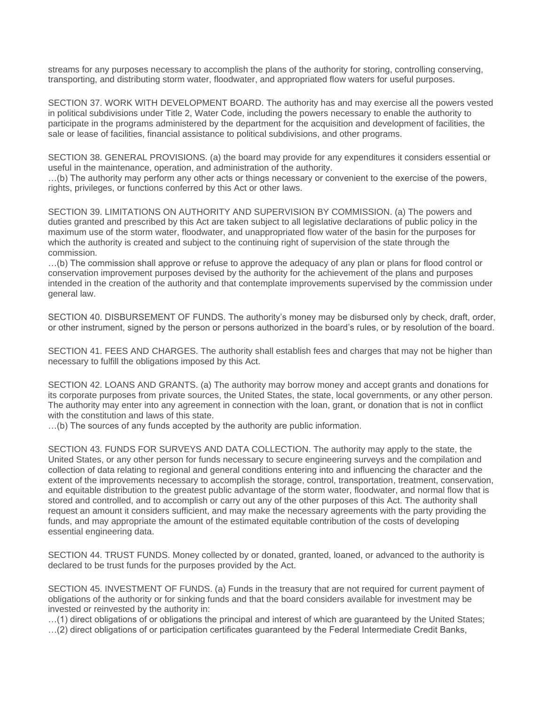streams for any purposes necessary to accomplish the plans of the authority for storing, controlling conserving, transporting, and distributing storm water, floodwater, and appropriated flow waters for useful purposes.

SECTION 37. WORK WITH DEVELOPMENT BOARD. The authority has and may exercise all the powers vested in political subdivisions under Title 2, Water Code, including the powers necessary to enable the authority to participate in the programs administered by the department for the acquisition and development of facilities, the sale or lease of facilities, financial assistance to political subdivisions, and other programs.

SECTION 38. GENERAL PROVISIONS. (a) the board may provide for any expenditures it considers essential or useful in the maintenance, operation, and administration of the authority.

…(b) The authority may perform any other acts or things necessary or convenient to the exercise of the powers, rights, privileges, or functions conferred by this Act or other laws.

SECTION 39. LIMITATIONS ON AUTHORITY AND SUPERVISION BY COMMISSION. (a) The powers and duties granted and prescribed by this Act are taken subject to all legislative declarations of public policy in the maximum use of the storm water, floodwater, and unappropriated flow water of the basin for the purposes for which the authority is created and subject to the continuing right of supervision of the state through the commission.

…(b) The commission shall approve or refuse to approve the adequacy of any plan or plans for flood control or conservation improvement purposes devised by the authority for the achievement of the plans and purposes intended in the creation of the authority and that contemplate improvements supervised by the commission under general law.

SECTION 40. DISBURSEMENT OF FUNDS. The authority's money may be disbursed only by check, draft, order, or other instrument, signed by the person or persons authorized in the board's rules, or by resolution of the board.

SECTION 41. FEES AND CHARGES. The authority shall establish fees and charges that may not be higher than necessary to fulfill the obligations imposed by this Act.

SECTION 42. LOANS AND GRANTS. (a) The authority may borrow money and accept grants and donations for its corporate purposes from private sources, the United States, the state, local governments, or any other person. The authority may enter into any agreement in connection with the loan, grant, or donation that is not in conflict with the constitution and laws of this state.

…(b) The sources of any funds accepted by the authority are public information.

SECTION 43. FUNDS FOR SURVEYS AND DATA COLLECTION. The authority may apply to the state, the United States, or any other person for funds necessary to secure engineering surveys and the compilation and collection of data relating to regional and general conditions entering into and influencing the character and the extent of the improvements necessary to accomplish the storage, control, transportation, treatment, conservation, and equitable distribution to the greatest public advantage of the storm water, floodwater, and normal flow that is stored and controlled, and to accomplish or carry out any of the other purposes of this Act. The authority shall request an amount it considers sufficient, and may make the necessary agreements with the party providing the funds, and may appropriate the amount of the estimated equitable contribution of the costs of developing essential engineering data.

SECTION 44. TRUST FUNDS. Money collected by or donated, granted, loaned, or advanced to the authority is declared to be trust funds for the purposes provided by the Act.

SECTION 45. INVESTMENT OF FUNDS. (a) Funds in the treasury that are not required for current payment of obligations of the authority or for sinking funds and that the board considers available for investment may be invested or reinvested by the authority in:

…(1) direct obligations of or obligations the principal and interest of which are guaranteed by the United States; …(2) direct obligations of or participation certificates guaranteed by the Federal Intermediate Credit Banks,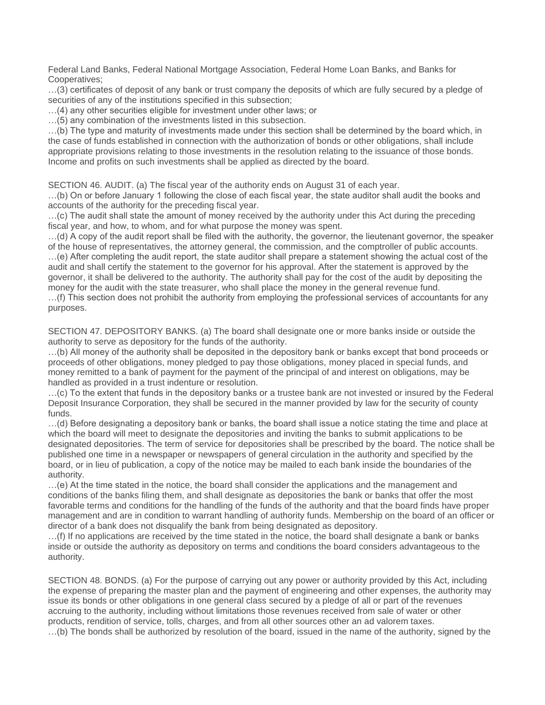Federal Land Banks, Federal National Mortgage Association, Federal Home Loan Banks, and Banks for Cooperatives;

…(3) certificates of deposit of any bank or trust company the deposits of which are fully secured by a pledge of securities of any of the institutions specified in this subsection;

…(4) any other securities eligible for investment under other laws; or

…(5) any combination of the investments listed in this subsection.

…(b) The type and maturity of investments made under this section shall be determined by the board which, in the case of funds established in connection with the authorization of bonds or other obligations, shall include appropriate provisions relating to those investments in the resolution relating to the issuance of those bonds. Income and profits on such investments shall be applied as directed by the board.

SECTION 46. AUDIT. (a) The fiscal year of the authority ends on August 31 of each year.

…(b) On or before January 1 following the close of each fiscal year, the state auditor shall audit the books and accounts of the authority for the preceding fiscal year.

…(c) The audit shall state the amount of money received by the authority under this Act during the preceding fiscal year, and how, to whom, and for what purpose the money was spent.

…(d) A copy of the audit report shall be filed with the authority, the governor, the lieutenant governor, the speaker of the house of representatives, the attorney general, the commission, and the comptroller of public accounts. …(e) After completing the audit report, the state auditor shall prepare a statement showing the actual cost of the audit and shall certify the statement to the governor for his approval. After the statement is approved by the governor, it shall be delivered to the authority. The authority shall pay for the cost of the audit by depositing the money for the audit with the state treasurer, who shall place the money in the general revenue fund.

…(f) This section does not prohibit the authority from employing the professional services of accountants for any purposes.

SECTION 47. DEPOSITORY BANKS. (a) The board shall designate one or more banks inside or outside the authority to serve as depository for the funds of the authority.

…(b) All money of the authority shall be deposited in the depository bank or banks except that bond proceeds or proceeds of other obligations, money pledged to pay those obligations, money placed in special funds, and money remitted to a bank of payment for the payment of the principal of and interest on obligations, may be handled as provided in a trust indenture or resolution.

…(c) To the extent that funds in the depository banks or a trustee bank are not invested or insured by the Federal Deposit Insurance Corporation, they shall be secured in the manner provided by law for the security of county funds.

…(d) Before designating a depository bank or banks, the board shall issue a notice stating the time and place at which the board will meet to designate the depositories and inviting the banks to submit applications to be designated depositories. The term of service for depositories shall be prescribed by the board. The notice shall be published one time in a newspaper or newspapers of general circulation in the authority and specified by the board, or in lieu of publication, a copy of the notice may be mailed to each bank inside the boundaries of the authority.

…(e) At the time stated in the notice, the board shall consider the applications and the management and conditions of the banks filing them, and shall designate as depositories the bank or banks that offer the most favorable terms and conditions for the handling of the funds of the authority and that the board finds have proper management and are in condition to warrant handling of authority funds. Membership on the board of an officer or director of a bank does not disqualify the bank from being designated as depository.

…(f) If no applications are received by the time stated in the notice, the board shall designate a bank or banks inside or outside the authority as depository on terms and conditions the board considers advantageous to the authority.

SECTION 48. BONDS. (a) For the purpose of carrying out any power or authority provided by this Act, including the expense of preparing the master plan and the payment of engineering and other expenses, the authority may issue its bonds or other obligations in one general class secured by a pledge of all or part of the revenues accruing to the authority, including without limitations those revenues received from sale of water or other products, rendition of service, tolls, charges, and from all other sources other an ad valorem taxes. …(b) The bonds shall be authorized by resolution of the board, issued in the name of the authority, signed by the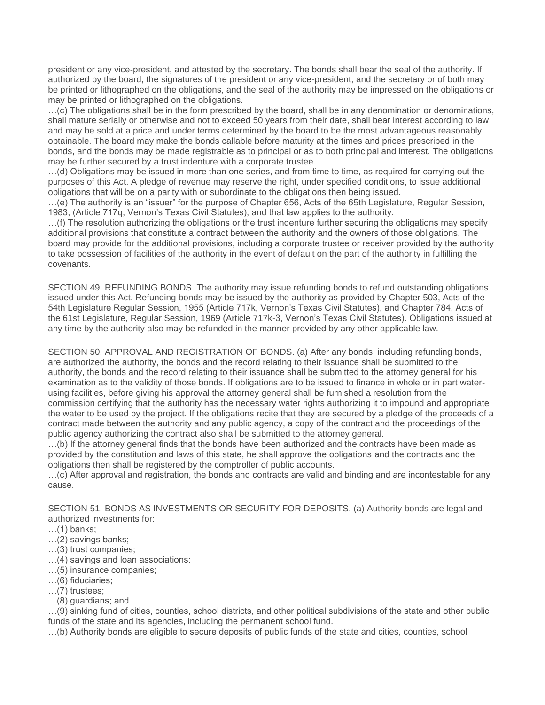president or any vice-president, and attested by the secretary. The bonds shall bear the seal of the authority. If authorized by the board, the signatures of the president or any vice-president, and the secretary or of both may be printed or lithographed on the obligations, and the seal of the authority may be impressed on the obligations or may be printed or lithographed on the obligations.

…(c) The obligations shall be in the form prescribed by the board, shall be in any denomination or denominations, shall mature serially or otherwise and not to exceed 50 years from their date, shall bear interest according to law, and may be sold at a price and under terms determined by the board to be the most advantageous reasonably obtainable. The board may make the bonds callable before maturity at the times and prices prescribed in the bonds, and the bonds may be made registrable as to principal or as to both principal and interest. The obligations may be further secured by a trust indenture with a corporate trustee.

…(d) Obligations may be issued in more than one series, and from time to time, as required for carrying out the purposes of this Act. A pledge of revenue may reserve the right, under specified conditions, to issue additional obligations that will be on a parity with or subordinate to the obligations then being issued.

…(e) The authority is an "issuer" for the purpose of Chapter 656, Acts of the 65th Legislature, Regular Session, 1983, (Article 717q, Vernon's Texas Civil Statutes), and that law applies to the authority.

…(f) The resolution authorizing the obligations or the trust indenture further securing the obligations may specify additional provisions that constitute a contract between the authority and the owners of those obligations. The board may provide for the additional provisions, including a corporate trustee or receiver provided by the authority to take possession of facilities of the authority in the event of default on the part of the authority in fulfilling the covenants.

SECTION 49. REFUNDING BONDS. The authority may issue refunding bonds to refund outstanding obligations issued under this Act. Refunding bonds may be issued by the authority as provided by Chapter 503, Acts of the 54th Legislature Regular Session, 1955 (Article 717k, Vernon's Texas Civil Statutes), and Chapter 784, Acts of the 61st Legislature, Regular Session, 1969 (Article 717k-3, Vernon's Texas Civil Statutes). Obligations issued at any time by the authority also may be refunded in the manner provided by any other applicable law.

SECTION 50. APPROVAL AND REGISTRATION OF BONDS. (a) After any bonds, including refunding bonds, are authorized the authority, the bonds and the record relating to their issuance shall be submitted to the authority, the bonds and the record relating to their issuance shall be submitted to the attorney general for his examination as to the validity of those bonds. If obligations are to be issued to finance in whole or in part waterusing facilities, before giving his approval the attorney general shall be furnished a resolution from the commission certifying that the authority has the necessary water rights authorizing it to impound and appropriate the water to be used by the project. If the obligations recite that they are secured by a pledge of the proceeds of a contract made between the authority and any public agency, a copy of the contract and the proceedings of the public agency authorizing the contract also shall be submitted to the attorney general.

…(b) If the attorney general finds that the bonds have been authorized and the contracts have been made as provided by the constitution and laws of this state, he shall approve the obligations and the contracts and the obligations then shall be registered by the comptroller of public accounts.

…(c) After approval and registration, the bonds and contracts are valid and binding and are incontestable for any cause.

SECTION 51. BONDS AS INVESTMENTS OR SECURITY FOR DEPOSITS. (a) Authority bonds are legal and authorized investments for:

- …(1) banks;
- …(2) savings banks;
- …(3) trust companies;
- …(4) savings and loan associations:
- …(5) insurance companies;
- …(6) fiduciaries;
- …(7) trustees;
- …(8) guardians; and

…(9) sinking fund of cities, counties, school districts, and other political subdivisions of the state and other public funds of the state and its agencies, including the permanent school fund.

…(b) Authority bonds are eligible to secure deposits of public funds of the state and cities, counties, school